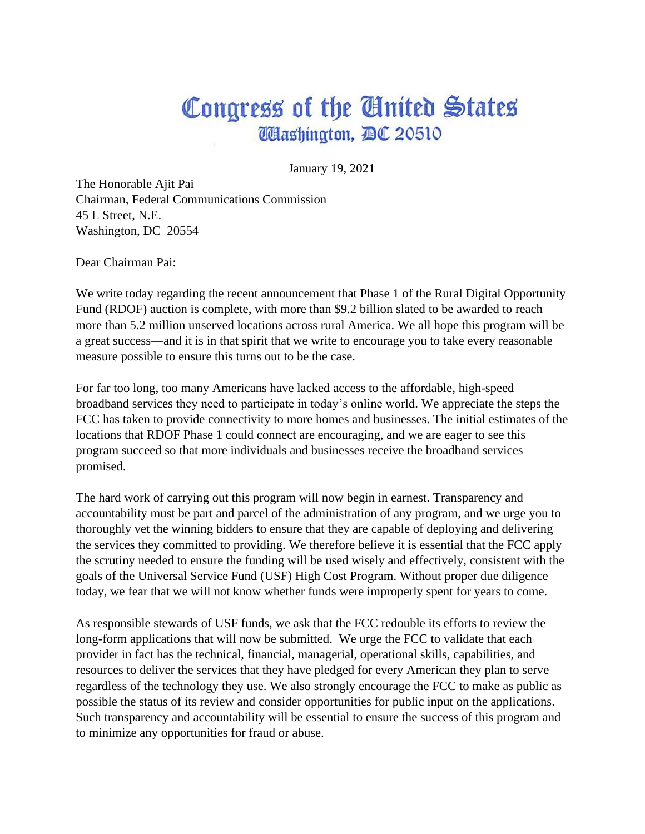# Congress of the Gluited States **Washington, DC 20510**

January 19, 2021

The Honorable Ajit Pai Chairman, Federal Communications Commission 45 L Street, N.E. Washington, DC 20554

Dear Chairman Pai:

We write today regarding the recent announcement that Phase 1 of the Rural Digital Opportunity Fund (RDOF) auction is complete, with more than \$9.2 billion slated to be awarded to reach more than 5.2 million unserved locations across rural America. We all hope this program will be a great success—and it is in that spirit that we write to encourage you to take every reasonable measure possible to ensure this turns out to be the case.

For far too long, too many Americans have lacked access to the affordable, high-speed broadband services they need to participate in today's online world. We appreciate the steps the FCC has taken to provide connectivity to more homes and businesses. The initial estimates of the locations that RDOF Phase 1 could connect are encouraging, and we are eager to see this program succeed so that more individuals and businesses receive the broadband services promised.

The hard work of carrying out this program will now begin in earnest. Transparency and accountability must be part and parcel of the administration of any program, and we urge you to thoroughly vet the winning bidders to ensure that they are capable of deploying and delivering the services they committed to providing. We therefore believe it is essential that the FCC apply the scrutiny needed to ensure the funding will be used wisely and effectively, consistent with the goals of the Universal Service Fund (USF) High Cost Program. Without proper due diligence today, we fear that we will not know whether funds were improperly spent for years to come.

As responsible stewards of USF funds, we ask that the FCC redouble its efforts to review the long-form applications that will now be submitted. We urge the FCC to validate that each provider in fact has the technical, financial, managerial, operational skills, capabilities, and resources to deliver the services that they have pledged for every American they plan to serve regardless of the technology they use. We also strongly encourage the FCC to make as public as possible the status of its review and consider opportunities for public input on the applications. Such transparency and accountability will be essential to ensure the success of this program and to minimize any opportunities for fraud or abuse.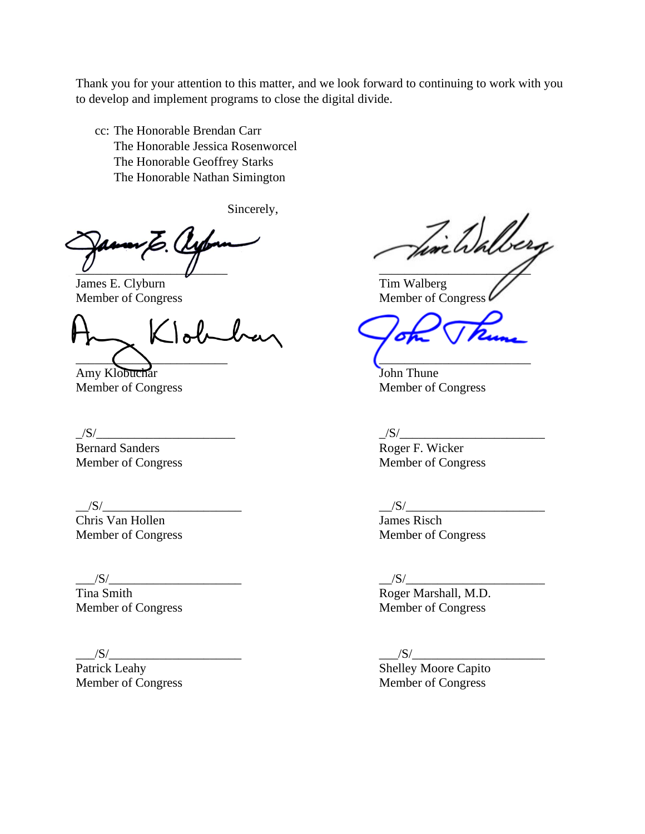Thank you for your attention to this matter, and we look forward to continuing to work with you to develop and implement programs to close the digital divide.

cc: The Honorable Brendan Carr The Honorable Jessica Rosenworcel The Honorable Geoffrey Starks The Honorable Nathan Simington

Sincerely,

\_\_\_\_\_\_\_\_\_\_\_\_\_\_\_\_\_\_\_\_\_\_\_\_ \_\_\_\_\_\_\_\_\_\_\_\_\_\_\_\_\_\_\_\_\_\_\_\_

**James E. Clyburn** Tim Walberg

Klobel  $\overline{\phantom{a}}$  ,  $\overline{\phantom{a}}$  ,  $\overline{\phantom{a}}$  ,  $\overline{\phantom{a}}$  ,  $\overline{\phantom{a}}$  ,  $\overline{\phantom{a}}$  ,  $\overline{\phantom{a}}$  ,  $\overline{\phantom{a}}$  ,  $\overline{\phantom{a}}$  ,  $\overline{\phantom{a}}$  ,  $\overline{\phantom{a}}$  ,  $\overline{\phantom{a}}$  ,  $\overline{\phantom{a}}$  ,  $\overline{\phantom{a}}$  ,  $\overline{\phantom{a}}$  ,  $\overline{\phantom{a}}$ 

Amy Klobuchar John Thune

 $\frac{S}{\text{Bernard Sanders}}$   $\frac{S}{\text{Normed}}$   $\frac{S}{\text{Noter}}$  F. Wicker

Chris Van Hollen James Risch Member of Congress Member of Congress

Fin Walberg

Member of Congress Member of Congress Member of Congress  $\ell$ 

Member of Congress Member of Congress

Roger F. Wicker Member of Congress Member of Congress

 $\frac{|S|}{|S|}$ 

 $\frac{|S|}{|S|}$ 

Tina Smith Roger Marshall, M.D. Member of Congress Member of Congress

\_\_\_/S/\_\_\_\_\_\_\_\_\_\_\_\_\_\_\_\_\_\_\_\_\_ \_\_\_/S/\_\_\_\_\_\_\_\_\_\_\_\_\_\_\_\_\_\_\_\_\_ Shelley Moore Capito Member of Congress Member of Congress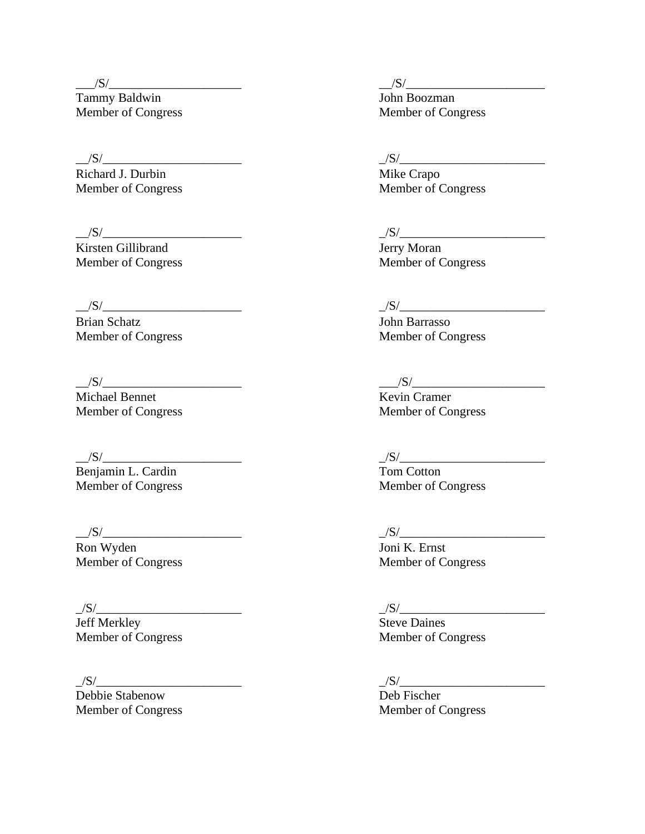Tammy Baldwin Member of Congress Member of Congress

Richard J. Durbin Mike Crapo

 $\frac{S}{\text{Kirsten Gillibrand}}$   $\frac{S}{\text{Hary Moran}}$ Kirsten Gillibrand<br>
Member of Congress<br>
Member of Congress<br>
Member of Congress Member of Congress

\_\_/S/\_\_\_\_\_\_\_\_\_\_\_\_\_\_\_\_\_\_\_\_\_\_ \_/S/\_\_\_\_\_\_\_\_\_\_\_\_\_\_\_\_\_\_\_\_\_\_\_

Brian Schatz **John Barrasso** 

 $\frac{S}{\text{Michael Bennett}}$   $\frac{S}{\text{Newton Cramer}}$  $Michael$  Bennet Member of Congress Member of Congress

 $\frac{|S|}{\text{Benjamin L. Cardin}}$   $\frac{|S|}{\text{Tom Conton}}$  $B$ enjamin L. Cardin

 $\frac{1}{S/\frac{S}{S/\frac{S}{S/\frac{S}{S/\frac{S}{S/\frac{S}{S/\frac{S}{S/\frac{S}{S/\frac{S}{S/\frac{S}{S/\frac{S}{S/\frac{S}{S/\frac{S}{S/\frac{S}{S/\frac{S}{S/\frac{S}{S/\frac{S}{S/\frac{S}{S/\frac{S}{S/\frac{S}{S/\frac{S}{S/\frac{S}{S/\frac{S}{S/\frac{S}{S/\frac{S}{S/\frac{S}{S/\frac{S}{S/\frac{S}{S/\frac{S}{S/\frac{S}{S/\frac{S}{S/\frac{S}{S/\frac{S}{S/\frac{S}{S/\frac{S}{S/\frac{S}{S/\frac{S$ 

Ron Wyden Joni K. Ernst

\_/S/\_\_\_\_\_\_\_\_\_\_\_\_\_\_\_\_\_\_\_\_\_\_\_ \_/S/\_\_\_\_\_\_\_\_\_\_\_\_\_\_\_\_\_\_\_\_\_\_\_ Jeff Merkley Steve Daines Member of Congress Member of Congress

Debbie Stabenow Deb Fischer Member of Congress Member of Congress

 $\frac{|S|}{\text{Tammv Baldwin}}$   $\frac{|S|}{\text{John Boozman}}$ 

 $\frac{1}{S/\frac{S}{S/\frac{S}{S/\frac{S}{S/\frac{S}{S/\frac{S}{S/\frac{S}{S/\frac{S}{S/\frac{S}{S/\frac{S}{S/\frac{S}{S/\frac{S}{S/\frac{S}{S/\frac{S}{S/\frac{S}{S/\frac{S}{S/\frac{S}{S/\frac{S}{S/\frac{S}{S/\frac{S}{S/\frac{S}{S/\frac{S}{S/\frac{S}{S/\frac{S}{S/\frac{S}{S/\frac{S}{S/\frac{S}{S/\frac{S}{S/\frac{S}{S/\frac{S}{S/\frac{S}{S/\frac{S}{S/\frac{S}{S/\frac{S}{S/\frac{S}{S/\frac{S}{S/\frac{S$ 

Member of Congress Member of Congress

Member of Congress Member of Congress

Member of Congress Member of Congress

Member of Congress Member of Congress

# $\frac{1}{S/\frac{S}{S/\frac{S}{S/\frac{S}{S/\frac{S}{S/\frac{S}{S/\frac{S}{S/\frac{S}{S/\frac{S}{S/\frac{S}{S/\frac{S}{S/\frac{S}{S/\frac{S}{S/\frac{S}{S/\frac{S}{S/\frac{S}{S/\frac{S}{S/\frac{S}{S/\frac{S}{S/\frac{S}{S/\frac{S}{S/\frac{S}{S/\frac{S}{S/\frac{S}{S/\frac{S}{S/\frac{S}{S/\frac{S}{S/\frac{S}{S/\frac{S}{S/\frac{S}{S/\frac{S}{S/\frac{S}{S/\frac{S}{S/\frac{S}{S/\frac{S}{S/\frac{S}{S/\frac{S$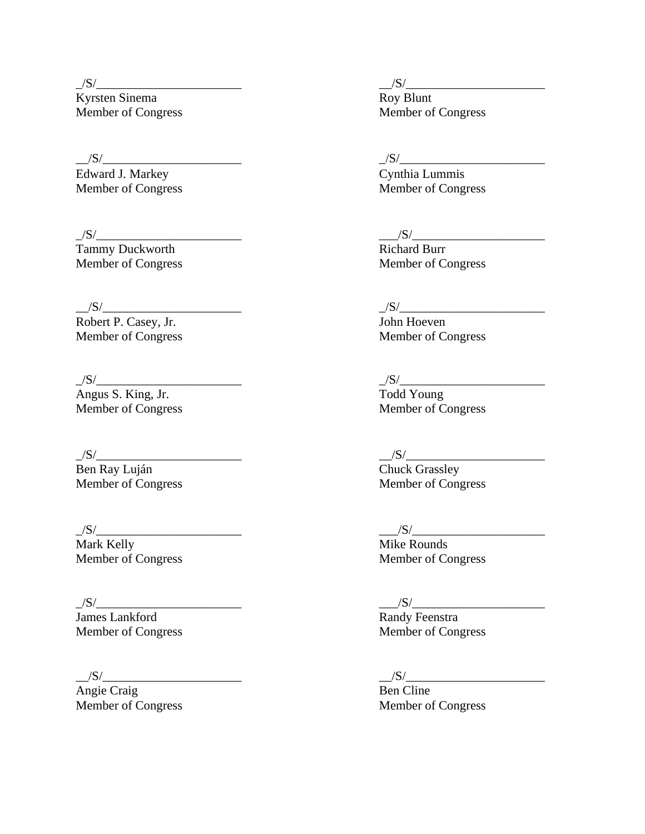\_/S/\_\_\_\_\_\_\_\_\_\_\_\_\_\_\_\_\_\_\_\_\_\_\_ \_\_/S/\_\_\_\_\_\_\_\_\_\_\_\_\_\_\_\_\_\_\_\_\_\_ Kyrsten Sinema Roy Blunt Member of Congress Member of Congress

Edward J. Markey Cynthia Lummis

Tammy Duckworth Richard Burr

 $\frac{1}{S/\frac{S}{S/\frac{S}{S/\frac{S}{S/\frac{S}{S/\frac{S}{S/\frac{S}{S/\frac{S}{S/\frac{S}{S/\frac{S}{S/\frac{S}{S/\frac{S}{S/\frac{S}{S/\frac{S}{S/\frac{S}{S/\frac{S}{S/\frac{S}{S/\frac{S}{S/\frac{S}{S/\frac{S}{S/\frac{S}{S/\frac{S}{S/\frac{S}{S/\frac{S}{S/\frac{S}{S/\frac{S}{S/\frac{S}{S/\frac{S}{S/\frac{S}{S/\frac{S}{S/\frac{S}{S/\frac{S}{S/\frac{S}{S/\frac{S}{S/\frac{S}{S/\frac{S}{S/\frac{S$ 

Robert P. Casey, Jr. John Hoeven

 $\frac{\text{S}}{\text{Angus S. King, Jr.}}$ <br>Angus S. King, Jr. Todd Young<br>Member of Congress Member of Congress Member of Congress

Vermette Chuck Grassley<br>Ben Ray Luján Chuck Grassley<br>Member of Congress Member of Congress Member of Congress

\_/S/\_\_\_\_\_\_\_\_\_\_\_\_\_\_\_\_\_\_\_\_\_\_\_ \_\_\_/S/\_\_\_\_\_\_\_\_\_\_\_\_\_\_\_\_\_\_\_\_\_ Mark Kelly Mike Rounds Member of Congress Member of Congress

 $\frac{|S|}{\text{James Lankford}}$   $\frac{|S|}{\text{Randy Feenstra}}$ <br>Member of Congress Member of Congress

Angie Craig Ben Cline

\_\_/S/\_\_\_\_\_\_\_\_\_\_\_\_\_\_\_\_\_\_\_\_\_\_ \_/S/\_\_\_\_\_\_\_\_\_\_\_\_\_\_\_\_\_\_\_\_\_\_\_

Member of Congress Member of Congress

 $\frac{1}{S/\frac{S}{S/\frac{S}{S/\frac{S}{S/\frac{S}{S/\frac{S}{S/\frac{S}{S/\frac{S}{S/\frac{S}{S/\frac{S}{S/\frac{S}{S/\frac{S}{S/\frac{S}{S/\frac{S}{S/\frac{S}{S/\frac{S}{S/\frac{S}{S/\frac{S}{S/\frac{S}{S/\frac{S}{S/\frac{S}{S/\frac{S}{S/\frac{S}{S/\frac{S}{S/\frac{S}{S/\frac{S}{S/\frac{S}{S/\frac{S}{S/\frac{S}{S/\frac{S}{S/\frac{S}{S/\frac{S}{S/\frac{S}{S/\frac{S}{S/\frac{S}{S/\frac{S}{S/\frac{S$ 

Member of Congress Member of Congress

Member of Congress Member of Congress

 $\frac{1}{\sqrt{S}}$  Todd Young

 $\frac{|S|}{\text{Chuck Grassley}}$ 

 $\frac{|S|}{\text{Randy Feenstra}}$ 

\_\_/S/\_\_\_\_\_\_\_\_\_\_\_\_\_\_\_\_\_\_\_\_\_\_ \_\_/S/\_\_\_\_\_\_\_\_\_\_\_\_\_\_\_\_\_\_\_\_\_\_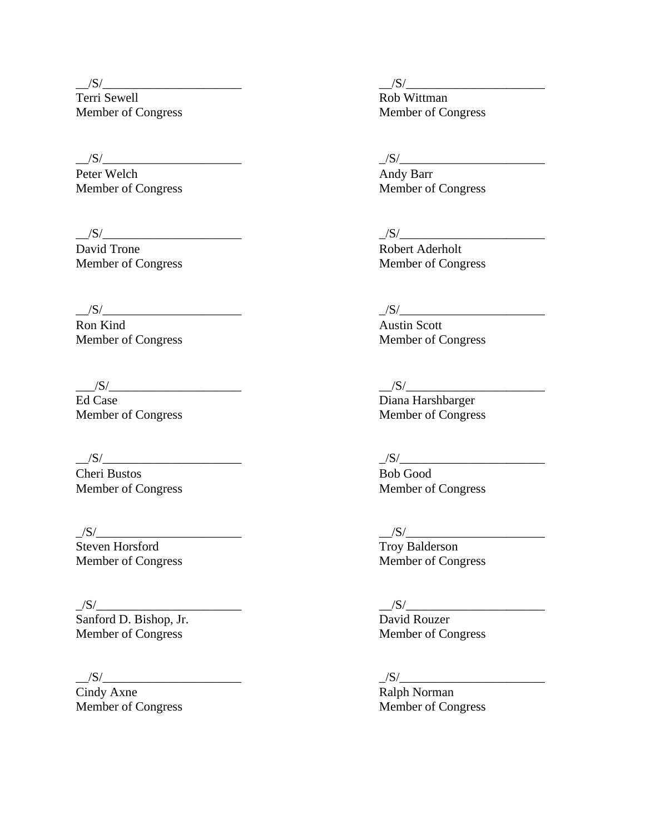Terri Sewell **Rob** Wittman Member of Congress Member of Congress

 $\frac{S}{\text{Peter Welch}}$   $\frac{S}{\text{Andy Barr}}$ Peter Welch

David Trone Robert Aderholt

Ron Kind Austin Scott

Ed Case Diana Harshbarger Member of Congress Member of Congress

 $\frac{1}{S/\frac{S}{S/\frac{S}{S/\frac{S}{S/\frac{S}{S/\frac{S}{S/\frac{S}{S/\frac{S}{S/\frac{S}{S/\frac{S}{S/\frac{S}{S/\frac{S}{S/\frac{S}{S/\frac{S}{S/\frac{S}{S/\frac{S}{S/\frac{S}{S/\frac{S}{S/\frac{S}{S/\frac{S}{S/\frac{S}{S/\frac{S}{S/\frac{S}{S/\frac{S}{S/\frac{S}{S/\frac{S}{S/\frac{S}{S/\frac{S}{S/\frac{S}{S/\frac{S}{S/\frac{S}{S/\frac{S}{S/\frac{S}{S/\frac{S}{S/\frac{S}{S/\frac{S}{S/\frac{S$ 

Cheri Bustos<br>
Member of Congress<br>
Member of Congress<br>
Member of Congress Member of Congress

 $\frac{|S|}{\text{Steven Horsford}}$ 

 $\frac{|S|}{\text{Sanford D. Bishop, Jr.}}$ Member of Congress Member of Congress

 $\frac{|S|}{\text{Cindy} \text{ Axne}}$   $\frac{|S|}{\text{Ralph} \text{Normal}}$  $\overline{\text{Cindy} \text{ Axne}}$ 

\_\_/S/\_\_\_\_\_\_\_\_\_\_\_\_\_\_\_\_\_\_\_\_\_\_ \_\_/S/\_\_\_\_\_\_\_\_\_\_\_\_\_\_\_\_\_\_\_\_\_\_

Member of Congress Member of Congress

# $\frac{1}{S/\frac{S}{S/\frac{S}{S/\frac{S}{S/\frac{S}{S/\frac{S}{S/\frac{S}{S/\frac{S}{S/\frac{S}{S/\frac{S}{S/\frac{S}{S/\frac{S}{S/\frac{S}{S/\frac{S}{S/\frac{S}{S/\frac{S}{S/\frac{S}{S/\frac{S}{S/\frac{S}{S/\frac{S}{S/\frac{S}{S/\frac{S}{S/\frac{S}{S/\frac{S}{S/\frac{S}{S/\frac{S}{S/\frac{S}{S/\frac{S}{S/\frac{S}{S/\frac{S}{S/\frac{S}{S/\frac{S}{S/\frac{S}{S/\frac{S}{S/\frac{S}{S/\frac{S}{S/\frac{S$

Member of Congress Member of Congress

### \_\_/S/\_\_\_\_\_\_\_\_\_\_\_\_\_\_\_\_\_\_\_\_\_\_ \_/S/\_\_\_\_\_\_\_\_\_\_\_\_\_\_\_\_\_\_\_\_\_\_\_

Member of Congress Member of Congress

\_\_\_/S/\_\_\_\_\_\_\_\_\_\_\_\_\_\_\_\_\_\_\_\_\_ \_\_/S/\_\_\_\_\_\_\_\_\_\_\_\_\_\_\_\_\_\_\_\_\_\_

 $\frac{|S|}{\text{Troy Balderson}}$ Member of Congress Member of Congress

 $\frac{1}{\sqrt{3}}\frac{1}{\sqrt{3}}$  David Rouzer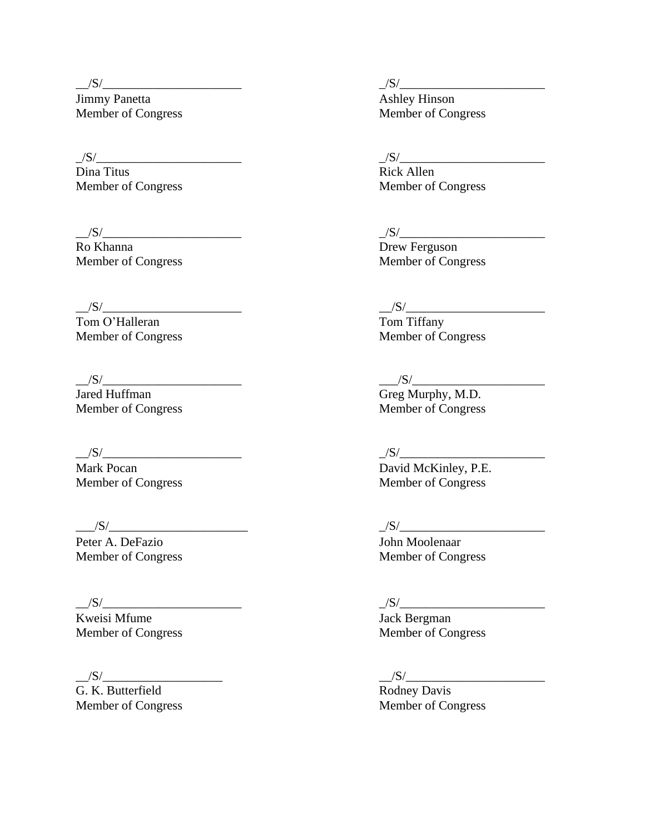Jimmy Panetta<br>
Member of Congress<br>
Member of Congress<br>
Member of Congress Member of Congress

 $\frac{|S|}{\text{Dina Titus}}$   $\frac{|S|}{\text{Rick Allen}}$ Member of Congress

Ro Khanna **Drew Ferguson** 

Member of Congress

VACCONTINUES<br>
Jared Huffman Greg Murphy, M.D.<br>
Member of Congress<br>
Member of Congress Member of Congress

Peter A. DeFazio John Moolenaar

 $\frac{S}{\text{Kweis}}$  Mfume  $\frac{S}{\text{Kweis}}$   $\frac{S}{\text{Kweis}}$ Kweisi Mfume<br>
Member of Congress<br>
Member of Congress<br>
Member of Congress Member of Congress

 $\frac{|S|}{G}$ . K. Butterfield

\_\_/S/\_\_\_\_\_\_\_\_\_\_\_\_\_\_\_\_\_\_\_\_\_\_ \_/S/\_\_\_\_\_\_\_\_\_\_\_\_\_\_\_\_\_\_\_\_\_\_\_

Rick Allen<br>Member of Congress

### \_\_/S/\_\_\_\_\_\_\_\_\_\_\_\_\_\_\_\_\_\_\_\_\_\_ \_/S/\_\_\_\_\_\_\_\_\_\_\_\_\_\_\_\_\_\_\_\_\_\_\_

Member of Congress Member of Congress

 $\frac{|S|}{\text{Tom O'Halleran}}$   $\frac{|S|}{\text{Tom Tiffany}}$ Tom O'Halleran Tom Tiffany<br>
Member of Congress Member of Congress

 $\frac{S}{\text{Greg Murphy, M.D.}}$ 

# \_\_/S/\_\_\_\_\_\_\_\_\_\_\_\_\_\_\_\_\_\_\_\_\_\_ \_/S/\_\_\_\_\_\_\_\_\_\_\_\_\_\_\_\_\_\_\_\_\_\_\_

Mark Pocan David McKinley, P.E. Member of Congress Member of Congress

### $\frac{1}{S/\frac{S}{S/\frac{S}{S/\frac{S}{S/\frac{S}{S/\frac{S}{S/\frac{S}{S/\frac{S}{S/\frac{S}{S/\frac{S}{S/\frac{S}{S/\frac{S}{S/\frac{S}{S/\frac{S}{S/\frac{S}{S/\frac{S}{S/\frac{S}{S/\frac{S}{S/\frac{S}{S/\frac{S}{S/\frac{S}{S/\frac{S}{S/\frac{S}{S/\frac{S}{S/\frac{S}{S/\frac{S}{S/\frac{S}{S/\frac{S}{S/\frac{S}{S/\frac{S}{S/\frac{S}{S/\frac{S}{S/\frac{S}{S/\frac{S}{S/\frac{S}{S/\frac{S}{S/\frac{S$

Member of Congress Member of Congress

 $\frac{|S|}{\text{Rodney Davis}}$ Member of Congress Member of Congress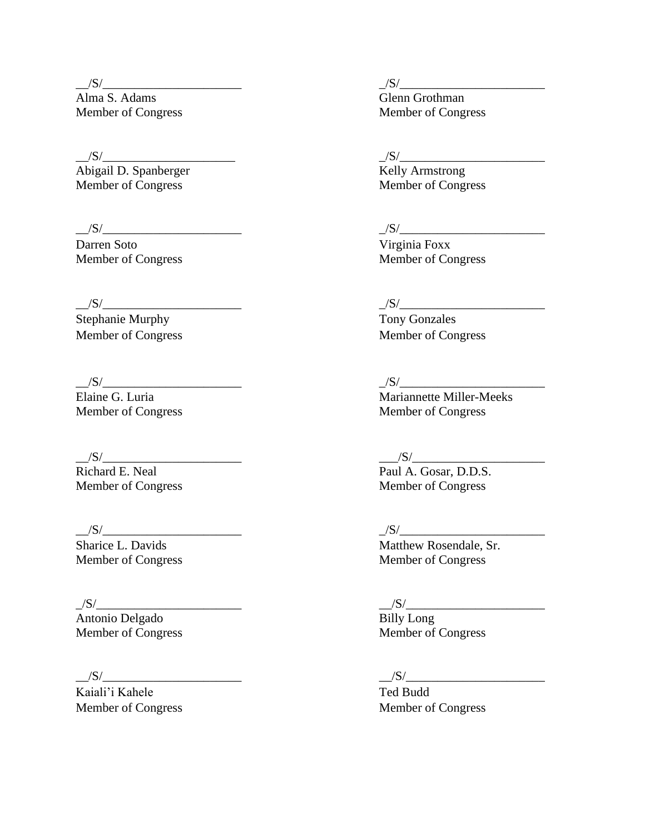Alma S. Adams Glenn Grothman Member of Congress Member of Congress

 $\frac{S}{\text{Abigail D. Spanberger}}$   $\frac{S}{\text{Kelly Armstrong}}$ Abigail D. Spanberger Member of Congress Member of Congress

\_\_/S/\_\_\_\_\_\_\_\_\_\_\_\_\_\_\_\_\_\_\_\_\_\_ \_/S/\_\_\_\_\_\_\_\_\_\_\_\_\_\_\_\_\_\_\_\_\_\_\_

Darren Soto Virginia Foxx

 $\frac{S}{\text{Stephanie Murphy}}$ 

 $\frac{|S|}{\text{Richard E. Neal}}$ 

\_/S/\_\_\_\_\_\_\_\_\_\_\_\_\_\_\_\_\_\_\_\_\_\_\_ \_\_/S/\_\_\_\_\_\_\_\_\_\_\_\_\_\_\_\_\_\_\_\_\_\_ Antonio Delgado Billy Long Member of Congress Member of Congress

Kaiali'i Kahele Ted Budd

 $\frac{1}{\sqrt{S}}$ / $\frac{1}{\sqrt{S}}$ / $\frac{1}{\sqrt{S}}$ / $\frac{1}{\sqrt{S}}$ / $\frac{1}{\sqrt{S}}$ / $\frac{1}{\sqrt{S}}$ / $\frac{1}{\sqrt{S}}$ / $\frac{1}{\sqrt{S}}$ / $\frac{1}{\sqrt{S}}$ / $\frac{1}{\sqrt{S}}$ / $\frac{1}{\sqrt{S}}$ / $\frac{1}{\sqrt{S}}$ / $\frac{1}{\sqrt{S}}$ / $\frac{1}{\sqrt{S}}$ / $\frac{1}{\sqrt{S}}$ / $\frac{1}{\sqrt{S}}$ / $\frac{1}{\sqrt{S}}$ /

Member of Congress Member of Congress

 $\frac{|S|}{\text{Tony Gonzales}}$ Member of Congress Member of Congress

### \_\_/S/\_\_\_\_\_\_\_\_\_\_\_\_\_\_\_\_\_\_\_\_\_\_ \_/S/\_\_\_\_\_\_\_\_\_\_\_\_\_\_\_\_\_\_\_\_\_\_\_

Elaine G. Luria and Theorem and Theorem and Mariannette Miller-Meeks Member of Congress Member of Congress

 $\frac{S}{\text{Paul A. Gosar, D.D.S.}}$ Member of Congress Member of Congress Member of Congress

### \_\_/S/\_\_\_\_\_\_\_\_\_\_\_\_\_\_\_\_\_\_\_\_\_\_ \_/S/\_\_\_\_\_\_\_\_\_\_\_\_\_\_\_\_\_\_\_\_\_\_\_

Sharice L. Davids Matthew Rosendale, Sr. Member of Congress Member of Congress

## $\frac{|S|}{|S|}$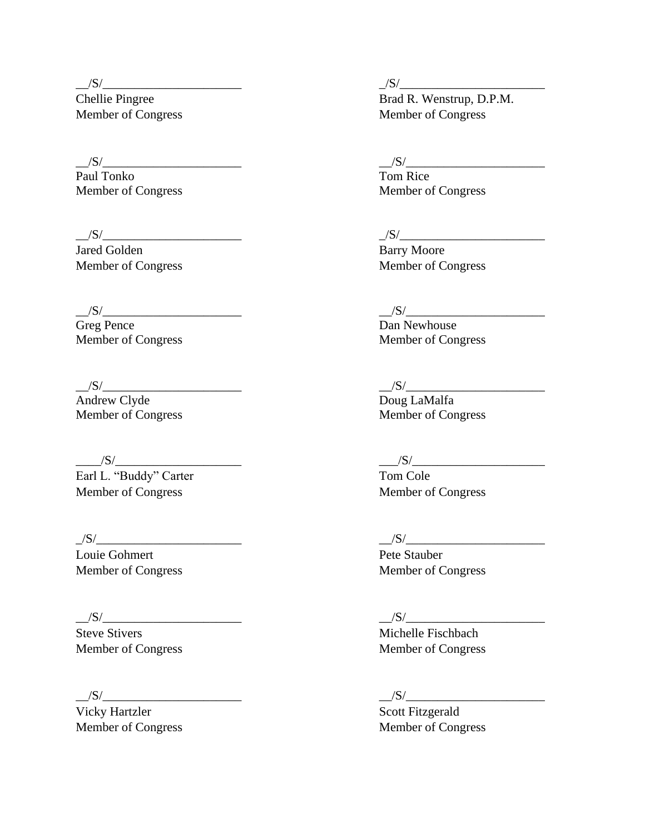Paul Tonko Tom Rice

\_\_/S/\_\_\_\_\_\_\_\_\_\_\_\_\_\_\_\_\_\_\_\_\_\_ \_/S/\_\_\_\_\_\_\_\_\_\_\_\_\_\_\_\_\_\_\_\_\_\_\_

Jared Golden Barry Moore

Greg Pence Dan Newhouse

Andrew Clyde Doug LaMalfa

 $\frac{|S|}{|S|}$ 

Earl L. "Buddy" Carter Tom Cole Member of Congress Member of Congress

Louie Gohmert Pete Stauber

 $/S/$ 

Vicky Hartzler Scott Fitzgerald

 $\frac{1}{S/\frac{S}{S/\frac{S}{S/\frac{S}{S/\frac{S}{S/\frac{S}{S/\frac{S}{S/\frac{S}{S/\frac{S}{S/\frac{S}{S/\frac{S}{S/\frac{S}{S/\frac{S}{S/\frac{S}{S/\frac{S}{S/\frac{S}{S/\frac{S}{S/\frac{S}{S/\frac{S}{S/\frac{S}{S/\frac{S}{S/\frac{S}{S/\frac{S}{S/\frac{S}{S/\frac{S}{S/\frac{S}{S/\frac{S}{S/\frac{S}{S/\frac{S}{S/\frac{S}{S/\frac{S}{S/\frac{S}{S/\frac{S}{S/\frac{S}{S/\frac{S}{S/\frac{S}{S/\frac{S$ 

Chellie Pingree Brad R. Wenstrup, D.P.M. Member of Congress Member of Congress

 $\frac{|S|}{|S|}$ 

Member of Congress Member of Congress

Member of Congress Member of Congress

\_\_/S/\_\_\_\_\_\_\_\_\_\_\_\_\_\_\_\_\_\_\_\_\_\_ \_\_/S/\_\_\_\_\_\_\_\_\_\_\_\_\_\_\_\_\_\_\_\_\_\_

Member of Congress Member of Congress

\_\_/S/\_\_\_\_\_\_\_\_\_\_\_\_\_\_\_\_\_\_\_\_\_\_ \_\_/S/\_\_\_\_\_\_\_\_\_\_\_\_\_\_\_\_\_\_\_\_\_\_

Member of Congress Member of Congress

### \_/S/\_\_\_\_\_\_\_\_\_\_\_\_\_\_\_\_\_\_\_\_\_\_\_ \_\_/S/\_\_\_\_\_\_\_\_\_\_\_\_\_\_\_\_\_\_\_\_\_\_

Member of Congress Member of Congress

## $\frac{|S|}{|S|}$

Steve Stivers Michelle Fischbach Member of Congress Member of Congress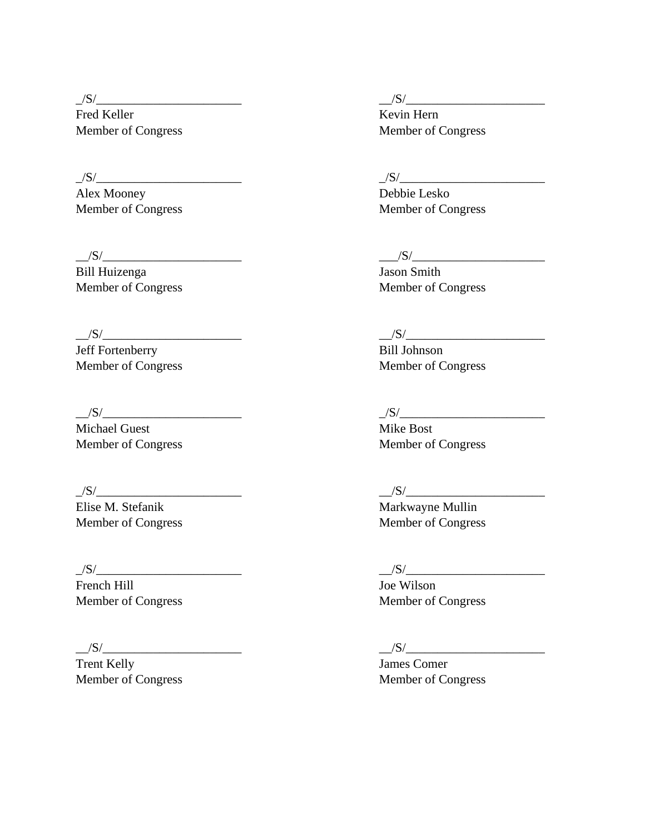Fred Keller Kevin Hern Member of Congress Member of Congress

\_/S/\_\_\_\_\_\_\_\_\_\_\_\_\_\_\_\_\_\_\_\_\_\_\_ \_/S/\_\_\_\_\_\_\_\_\_\_\_\_\_\_\_\_\_\_\_\_\_\_\_

Alex Mooney Debbie Lesko

 $\frac{1}{S/\frac{S}{S/\frac{S}{S/\frac{S}{S/\frac{S}{S/\frac{S}{S/\frac{S}{S/\frac{S}{S/\frac{S}{S/\frac{S}{S/\frac{S}{S/\frac{S}{S/\frac{S}{S/\frac{S}{S/\frac{S}{S/\frac{S}{S/\frac{S}{S/\frac{S}{S/\frac{S}{S/\frac{S}{S/\frac{S}{S/\frac{S}{S/\frac{S}{S/\frac{S}{S/\frac{S}{S/\frac{S}{S/\frac{S}{S/\frac{S}{S/\frac{S}{S/\frac{S}{S/\frac{S}{S/\frac{S}{S/\frac{S}{S/\frac{S}{S/\frac{S}{S/\frac{S}{S/\frac{S$ 

Bill Huizenga Jason Smith

Jeff Fortenberry Bill Johnson

Michael Guest **Mike Bost** Member of Congress Member of Congress

French Hill Joe Wilson

Trent Kelly James Comer

\_/S/\_\_\_\_\_\_\_\_\_\_\_\_\_\_\_\_\_\_\_\_\_\_\_ \_\_/S/\_\_\_\_\_\_\_\_\_\_\_\_\_\_\_\_\_\_\_\_\_\_

Member of Congress Member of Congress

Member of Congress Member of Congress

 $\frac{1}{S/\frac{S}{S/\frac{S}{S/\frac{S}{S/\frac{S}{S/\frac{S}{S/\frac{S}{S/\frac{S}{S/\frac{S}{S/\frac{S}{S/\frac{S}{S/\frac{S}{S/\frac{S}{S/\frac{S}{S/\frac{S}{S/\frac{S}{S/\frac{S}{S/\frac{S}{S/\frac{S}{S/\frac{S}{S/\frac{S}{S/\frac{S}{S/\frac{S}{S/\frac{S}{S/\frac{S}{S/\frac{S}{S/\frac{S}{S/\frac{S}{S/\frac{S}{S/\frac{S}{S/\frac{S}{S/\frac{S}{S/\frac{S}{S/\frac{S}{S/\frac{S}{S/\frac{S}{S/\frac{S$ 

Member of Congress Member of Congress

 $\frac{1}{S/\frac{S}{S/\frac{S}{S/\frac{S}{S/\frac{S}{S/\frac{S}{S/\frac{S}{S/\frac{S}{S/\frac{S}{S/\frac{S}{S/\frac{S}{S/\frac{S}{S/\frac{S}{S/\frac{S}{S/\frac{S}{S/\frac{S}{S/\frac{S}{S/\frac{S}{S/\frac{S}{S/\frac{S}{S/\frac{S}{S/\frac{S}{S/\frac{S}{S/\frac{S}{S/\frac{S}{S/\frac{S}{S/\frac{S}{S/\frac{S}{S/\frac{S}{S/\frac{S}{S/\frac{S}{S/\frac{S}{S/\frac{S}{S/\frac{S}{S/\frac{S}{S/\frac{S}{S/\frac{S$ 

 $\frac{1}{S/\text{K}}$  Elise M. Stefanik and the set of the set of the Markwayne Mullin  $\frac{1}{S/\text{K}}$  Markwayne Mullin Markwayne Mullin Member of Congress Member of Congress

 $/S/$ 

Member of Congress Member of Congress

### $\frac{|S|}{\sqrt{S}}$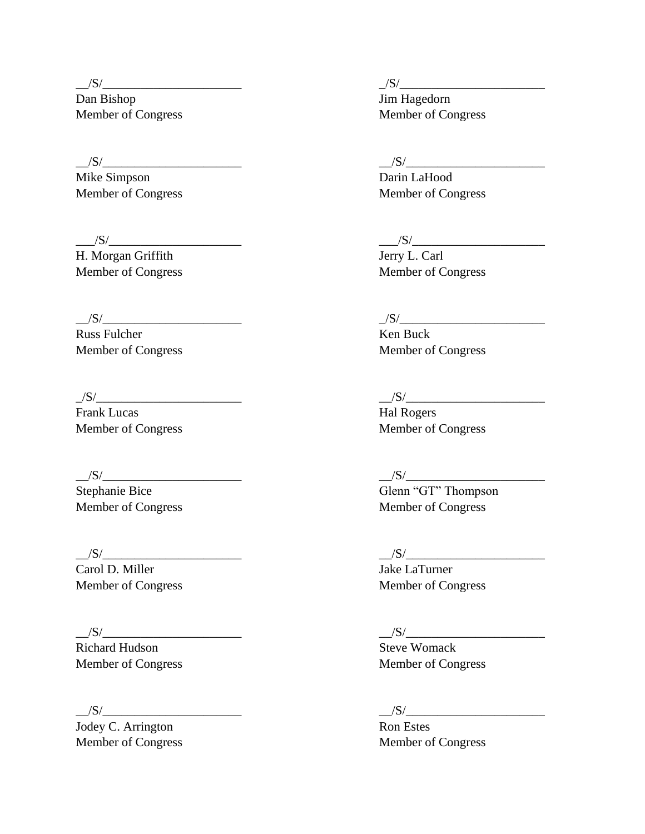Dan Bishop Jim Hagedorn Member of Congress Member of Congress

Mike Simpson Darin LaHood

H. Morgan Griffith Jerry L. Carl

\_\_/S/\_\_\_\_\_\_\_\_\_\_\_\_\_\_\_\_\_\_\_\_\_\_ \_/S/\_\_\_\_\_\_\_\_\_\_\_\_\_\_\_\_\_\_\_\_\_\_\_

Russ Fulcher Ken Buck

 $\frac{1}{S/\frac{S}{S/\frac{S}{S/\frac{S}{S/\frac{S}{S/\frac{S}{S/\frac{S}{S/\frac{S}{S/\frac{S}{S/\frac{S}{S/\frac{S}{S/\frac{S}{S/\frac{S}{S/\frac{S}{S/\frac{S}{S/\frac{S}{S/\frac{S}{S/\frac{S}{S/\frac{S}{S/\frac{S}{S/\frac{S}{S/\frac{S}{S/\frac{S}{S/\frac{S}{S/\frac{S}{S/\frac{S}{S/\frac{S}{S/\frac{S}{S/\frac{S}{S/\frac{S}{S/\frac{S}{S/\frac{S}{S/\frac{S}{S/\frac{S}{S/\frac{S}{S/\frac{S}{S/\frac{S$ Frank Lucas Hal Rogers Hal Rogers

Carol D. Miller Jake LaTurner

 $\frac{|S|}{|S|}$ 

Richard Hudson Steve Womack

Jodey C. Arrington Ron Estes

 $\frac{1}{S/\frac{S}{S/\frac{S}{S/\frac{S}{S/\frac{S}{S/\frac{S}{S/\frac{S}{S/\frac{S}{S/\frac{S}{S/\frac{S}{S/\frac{S}{S/\frac{S}{S/\frac{S}{S/\frac{S}{S/\frac{S}{S/\frac{S}{S/\frac{S}{S/\frac{S}{S/\frac{S}{S/\frac{S}{S/\frac{S}{S/\frac{S}{S/\frac{S}{S/\frac{S}{S/\frac{S}{S/\frac{S}{S/\frac{S}{S/\frac{S}{S/\frac{S}{S/\frac{S}{S/\frac{S}{S/\frac{S}{S/\frac{S}{S/\frac{S}{S/\frac{S}{S/\frac{S}{S/\frac{S$ 

### $\frac{|S|}{|S|}$

Member of Congress Member of Congress

### $\frac{1}{S/\frac{S}{S/\frac{S}{S/\frac{S}{S/\frac{S}{S/\frac{S}{S/\frac{S}{S/\frac{S}{S/\frac{S}{S/\frac{S}{S/\frac{S}{S/\frac{S}{S/\frac{S}{S/\frac{S}{S/\frac{S}{S/\frac{S}{S/\frac{S}{S/\frac{S}{S/\frac{S}{S/\frac{S}{S/\frac{S}{S/\frac{S}{S/\frac{S}{S/\frac{S}{S/\frac{S}{S/\frac{S}{S/\frac{S}{S/\frac{S}{S/\frac{S}{S/\frac{S}{S/\frac{S}{S/\frac{S}{S/\frac{S}{S/\frac{S}{S/\frac{S}{S/\frac{S}{S/\frac{S$

Member of Congress Member of Congress

Member of Congress Member of Congress

Member of Congress Member of Congress

# $/S/$   $/S/$

Stephanie Bice Glenn "GT" Thompson Member of Congress Member of Congress

 $\frac{1}{S/\frac{S}{S/\frac{S}{S/\frac{S}{S/\frac{S}{S/\frac{S}{S/\frac{S}{S/\frac{S}{S/\frac{S}{S/\frac{S}{S/\frac{S}{S/\frac{S}{S/\frac{S}{S/\frac{S}{S/\frac{S}{S/\frac{S}{S/\frac{S}{S/\frac{S}{S/\frac{S}{S/\frac{S}{S/\frac{S}{S/\frac{S}{S/\frac{S}{S/\frac{S}{S/\frac{S}{S/\frac{S}{S/\frac{S}{S/\frac{S}{S/\frac{S}{S/\frac{S}{S/\frac{S}{S/\frac{S}{S/\frac{S}{S/\frac{S}{S/\frac{S}{S/\frac{S}{S/\frac{S$ 

Member of Congress Member of Congress

Member of Congress Member of Congress

### $/S/$   $/S/$